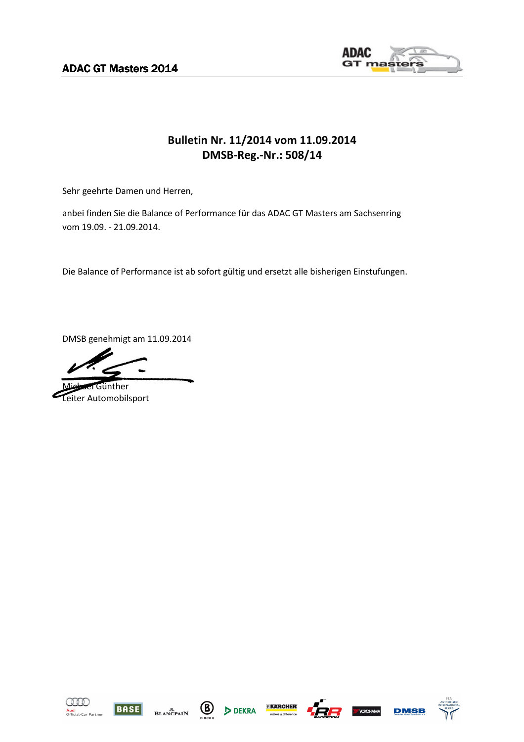**ADAC GT Masters 2014** 



## **Bulletin Nr. 11/2014 vom 11.09.2014 DMSB-Reg.-Nr.: 508/14**

Sehr geehrte Damen und Herren,

anbei finden Sie die Balance of Performance für das ADAC GT Masters am Sachsenring vom 19.09. - 21.09.2014.

Die Balance of Performance ist ab sofort gültig und ersetzt alle bisherigen Einstufungen.

DMSB genehmigt am 11.09.2014

Günther Leiter Automobilsport















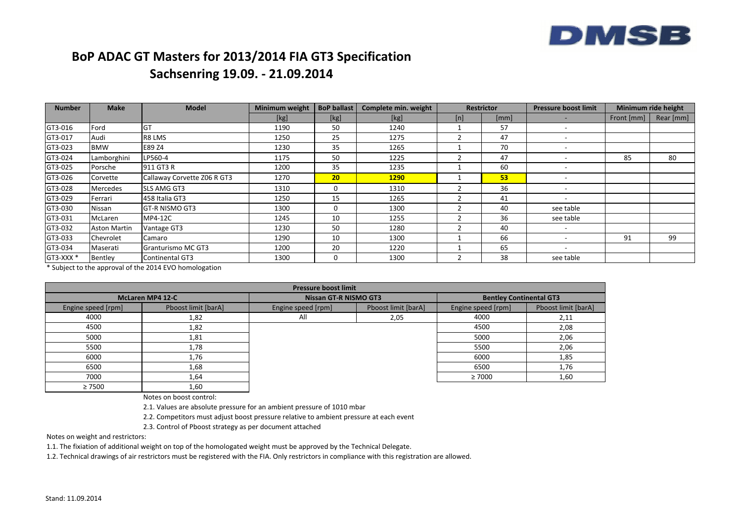

## **BoP ADAC GT Masters for 2013/2014 FIA GT3 SpecificationSachsenring 19.09. - 21.09.2014**

| <b>Number</b>        | <b>Make</b>         | <b>Model</b>                | <b>Minimum weight</b> | <b>BoP ballast</b> | Complete min. weight | <b>Restrictor</b> |      | <b>Pressure boost limit</b> | Minimum ride height |           |
|----------------------|---------------------|-----------------------------|-----------------------|--------------------|----------------------|-------------------|------|-----------------------------|---------------------|-----------|
|                      |                     |                             | [kg]                  | [kg]               | [kg]                 | [n]               | [mm] |                             | Front [mm]          | Rear [mm] |
| GT3-016              | Ford                | GT                          | 1190                  | 50                 | 1240                 |                   | 57   | $\overline{\phantom{0}}$    |                     |           |
| GT3-017              | Audi                | R8 LMS                      | 1250                  | 25                 | 1275                 |                   | 47   |                             |                     |           |
| GT3-023              | <b>BMW</b>          | E89 Z4                      | 1230                  | 35                 | 1265                 |                   | 70   |                             |                     |           |
| GT3-024              | Lamborghini         | LP560-4                     | 1175                  | 50                 | 1225                 |                   | 47   |                             | 85                  | 80        |
| GT3-025              | Porsche             | 911 GT3 R                   | 1200                  | 35                 | 1235                 |                   | 60   |                             |                     |           |
| GT3-026              | Corvette            | Callaway Corvette Z06 R GT3 | 1270                  | 20 <sub>2</sub>    | <b>1290</b>          |                   | 53   |                             |                     |           |
| GT3-028              | <b>Mercedes</b>     | <b>SLS AMG GT3</b>          | 1310                  | 0                  | 1310                 |                   | 36   |                             |                     |           |
| GT3-029              | Ferrari             | 458 Italia GT3              | 1250                  | 15                 | 1265                 |                   | 41   |                             |                     |           |
| GT3-030              | Nissan              | <b>GT-R NISMO GT3</b>       | 1300                  | 0                  | 1300                 |                   | 40   | see table                   |                     |           |
| GT3-031              | McLaren             | MP4-12C                     | 1245                  | 10                 | 1255                 |                   | 36   | see table                   |                     |           |
| GT3-032              | <b>Aston Martin</b> | Vantage GT3                 | 1230                  | 50                 | 1280                 |                   | 40   |                             |                     |           |
| GT3-033              | Chevrolet           | Camaro                      | 1290                  | 10                 | 1300                 |                   | 66   |                             | 91                  | 99        |
| GT3-034              | Maserati            | Granturismo MC GT3          | 1200                  | 20                 | 1220                 |                   | 65   | $\sim$                      |                     |           |
| GT3-XXX <sup>*</sup> | Bentley             | Continental GT3             | 1300                  | 0                  | 1300                 |                   | 38   | see table                   |                     |           |

\* Subject to the approval of the 2014 EVO homologation

| <b>Pressure boost limit</b> |                         |                                           |      |                                |                     |  |  |  |
|-----------------------------|-------------------------|-------------------------------------------|------|--------------------------------|---------------------|--|--|--|
|                             | <b>McLaren MP4 12-C</b> | <b>Nissan GT-R NISMO GT3</b>              |      | <b>Bentley Continental GT3</b> |                     |  |  |  |
| Engine speed [rpm]          | Pboost limit [barA]     | Pboost limit [barA]<br>Engine speed [rpm] |      | Engine speed [rpm]             | Pboost limit [barA] |  |  |  |
| 4000                        | 1,82                    | All                                       | 2,05 | 4000                           | 2,11                |  |  |  |
| 4500                        | 1,82                    |                                           |      | 4500                           | 2,08                |  |  |  |
| 5000                        | 1,81                    |                                           |      | 5000                           | 2,06                |  |  |  |
| 5500                        | 1,78                    |                                           |      | 5500                           | 2,06                |  |  |  |
| 6000                        | 1,76                    |                                           |      | 6000                           | 1,85                |  |  |  |
| 6500                        | 1,68                    |                                           |      | 6500                           | 1,76                |  |  |  |
| 7000                        | 1,64                    |                                           |      | $\geq 7000$                    | 1,60                |  |  |  |
| $\geq 7500$                 | 1,60                    |                                           |      |                                |                     |  |  |  |

Notes on boost control:

2.1. Values are absolute pressure for an ambient pressure of 1010 mbar

2.2. Competitors must adjust boost pressure relative to ambient pressure at each event

2.3. Control of Pboost strategy as per document attached

Notes on weight and restrictors:

1.1. The fixiation of additional weight on top of the homologated weight must be approved by the Technical Delegate.

1.2. Technical drawings of air restrictors must be registered with the FIA. Only restrictors in compliance with this registration are allowed.